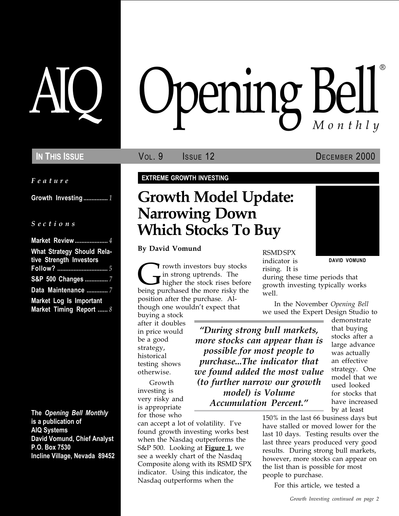Feature

Growth Investing ................ 1

### S e c t i o n s

| Market Review  4                                             |
|--------------------------------------------------------------|
| <b>What Strategy Should Rela-</b><br>tive Strength Investors |
|                                                              |
| S&P 500 Changes 7                                            |
| Data Maintenance  7                                          |
| Market Log Is Important<br>Market Timing Report  8           |

The Opening Bell Monthly is a publication of AIQ Systems David Vomund, Chief Analyst P.O. Box 7530 Incline Village, Nevada 89452

# pening Bell ®

In This Issue **Vol. 9** Issue 12 DECEMBER 2000

### EXTREME GROWTH INVESTING

## Growth Model Update: Narrowing Down Which Stocks To Buy

By David Vomund

**C** rowth investors buy stocks<br>in strong uptrends. The<br>being purchased the more risky the in strong uptrends. The higher the stock rises before being purchased the more risky the position after the purchase. Although one wouldn't expect that

buying a stock after it doubles in price would be a good strategy, historical testing shows otherwise.

Growth investing is very risky and is appropriate for those who

can accept a lot of volatility. Ive found growth investing works best when the Nasdaq outperforms the S&P 500. Looking at **Figure 1**, we see a weekly chart of the Nasdaq Composite along with its RSMD SPX indicator. Using this indicator, the Nasdaq outperforms when the

RSMD SPX

indicator is rising. It is DAVID VOMUND

during these time periods that growth investing typically works well.

In the November Opening Bell we used the Expert Design Studio to

During strong bull markets, more stocks can appear than is possible for most people to purchase...The indicator that we found added the most value (to further narrow our growth model) is Volume Accumulation Percent.

demonstrate that buying stocks after a large advance was actually an effective strategy. One model that we used looked for stocks that have increased by at least

150% in the last 66 business days but have stalled or moved lower for the last 10 days. Testing results over the last three years produced very good results. During strong bull markets, however, more stocks can appear on the list than is possible for most people to purchase.

For this article, we tested a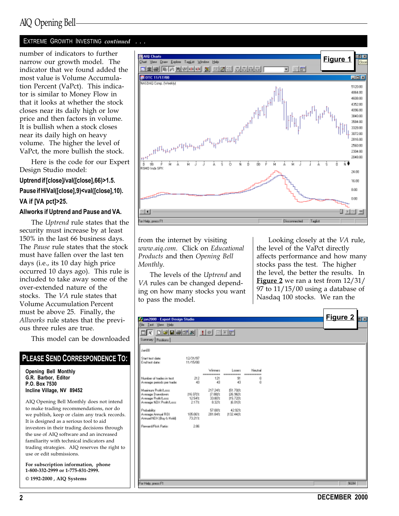### AIQ Opening Bell

### EXTREME GROWTH INVESTING continued . . .

number of indicators to further narrow our growth model. The indicator that we found added the most value is Volume Accumulation Percent (VaPct). This indicator is similar to Money Flow in that it looks at whether the stock closes near its daily high or low price and then factors in volume. It is bullish when a stock closes near its daily high on heavy volume. The higher the level of VaPct, the more bullish the stock.

Here is the code for our Expert Design Studio model:

#### Uptrend if [close]/val([close],66)>1.5.

### Pause if HiVal([close],9)<val([close],10).

VA if [VA pct]>25.

#### Allworks if Uptrend and Pause and VA.

The Uptrend rule states that the security must increase by at least 150% in the last 66 business days. The Pause rule states that the stock must have fallen over the last ten days (i.e., its 10 day high price occurred 10 days ago). This rule is included to take away some of the over-extended nature of the stocks. The VA rule states that Volume Accumulation Percent must be above 25. Finally, the Allworks rule states that the previous three rules are true.

This model can be downloaded

### PLEASE SEND CORRESPONDENCE TO:

Opening Bell Monthly G.R. Barbor, Editor P.O. Box 7530 Incline Village, NV 89452

AIQ Opening Bell Monthly does not intend to make trading recommendations, nor do we publish, keep or claim any track records. It is designed as a serious tool to aid investors in their trading decisions through the use of AIQ software and an increased familiarity with technical indicators and trading strategies. AIQ reserves the right to use or edit submissions.

For subscription information, phone 1-800-332-2999 or 1-775-831-2999. © 1992-2000 , AIQ Systems



from the internet by visiting www.aiq.com. Click on Educational Products and then Opening Bell Monthly.

The levels of the Uptrend and VA rules can be changed depending on how many stocks you want to pass the model.

Looking closely at the VA rule, the level of the VaPct directly affects performance and how many stocks pass the test. The higher the level, the better the results. In Figure 2 we ran a test from  $12/31/$ 97 to 11/15/00 using a database of Nasdaq 100 stocks. We ran the

| Fe ian2000 - Expert Design Studio                                                                             |                            |                                            |                                          |         |  | Figure 2 $\frac{1}{2}$ |
|---------------------------------------------------------------------------------------------------------------|----------------------------|--------------------------------------------|------------------------------------------|---------|--|------------------------|
| Ele Lest Your Help<br>$\Box X$ $\Box G$ $\Box G$ $\Box G$ $X$ $\Box G$ $\Box G$ $\Box G$<br>Summary Pazitions |                            |                                            |                                          |         |  |                        |
| Jan00                                                                                                         |                            |                                            |                                          |         |  |                        |
| Start text date:<br>End test date:                                                                            | 12/31/97<br>11/15/00       |                                            |                                          |         |  |                        |
|                                                                                                               |                            | Weesen                                     | Longre                                   | Neutral |  |                        |
| Number of tradec in text.<br>Average periods per trade:                                                       | 212<br>43                  | 121<br>43                                  | 91<br>43                                 | ű<br>ű  |  |                        |
| Maginum Profit/Long<br>Avenage Drawdown:<br>Average Profit/Lass<br>Average NDX Profit/Lass:                   | 116.07)%<br>1254%<br>2.17% | 217.24%<br><b>7.88は</b><br>33.80%<br>8:32% | (51.70(%)<br>126.96(%<br>15.72(%)<br>風朗探 |         |  |                        |
| Probability:<br>Average Annual ROL<br>Annual NDK (Buy & Hold):                                                | 105.06%<br>73.21%          | 57.08%<br>261.84%                          | 4292%<br>11:32.44(%)                     |         |  |                        |
| Reveald Fisk Ratio                                                                                            | 2.86                       |                                            |                                          |         |  |                        |
|                                                                                                               |                            |                                            |                                          |         |  |                        |
|                                                                                                               |                            |                                            |                                          |         |  |                        |
|                                                                                                               |                            |                                            |                                          |         |  |                        |
|                                                                                                               |                            |                                            |                                          |         |  |                        |
| For Help, press F1                                                                                            |                            |                                            |                                          |         |  | NUM                    |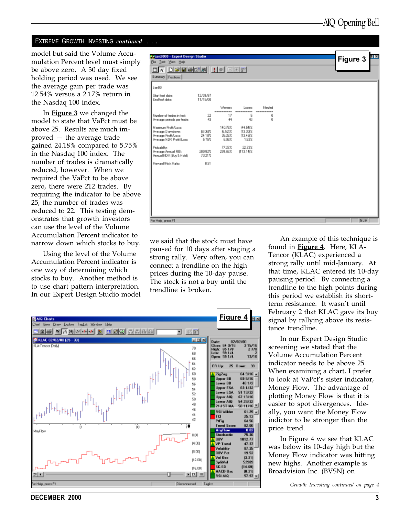### EXTREME GROWTH INVESTING continued . . .

model but said the Volume Accumulation Percent level must simply be above zero. A 30 day fixed holding period was used. We see the average gain per trade was 12.54% versus a 2.17% return in the Nasdaq 100 index.

In **Figure 3** we changed the model to state that VaPct must be above 25. Results are much improved  $-$  the average trade gained 24.18% compared to 5.75% in the Nasdaq 100 index. The number of trades is dramatically reduced, however. When we required the VaPct to be above zero, there were 212 trades. By requiring the indicator to be above 25, the number of trades was reduced to 22. This testing demonstrates that growth investors can use the level of the Volume Accumulation Percent indicator to narrow down which stocks to buy.

Using the level of the Volume Accumulation Percent indicator is one way of determining which stocks to buy. Another method is to use chart pattern interpretation. In our Expert Design Studio model



we said that the stock must have paused for 10 days after staging a strong rally. Very often, you can connect a trendline on the high prices during the 10-day pause. The stock is not a buy until the trendline is broken.

<u>Figure 4</u> **AIG** Charts You Draw Explore TagList Window Help 그리쪽 찌꺼까지저녁 왜 머리의 허허하지 ! 그 20 **M** KLAC 02/02/00 (25 - 33) 周回图 Date: 02/02/00<br>Class: 64 9/16 3<br>High: 65 1/8<br>Low: 59 1/4<br>Open: 59 1/4 15/16 **ILA-Tencor Dalvi** 70 27/8 Ė8 าจกริ BB. 64 ER Up:  $25$ 33 k2 64 9/16 a 60 isZas **Joper BB** 895/16 5B **u** fyrith wer BB 48 1/2 56 Upper ESA 63 1/32 54 omer ESA 51 19/32 śż. Upper AIQ 6713/16 50 er AIG 54 29/32 48 21d ST MA 58 11/16 46  $61.25$   $\times$ RSI Wilder 44 TCI 25.13 42 PtFig 64.56 óo **Trend Sc** 82.00  $0.82$ 75.36 0.00 **JBV** 1012.77 **PL001** 47.37 **VP Trund** 87.35 eilty **19.000** 08V Fct 19.52  $[3.31]$ Vol Osc  $1200$ SplitVol 52989 SK-SD 06.00  $(14.69)$ **MACD Oxe** (0.31) 国四国  $II$  4 **RSI AIQ** 57.97 'or Help, press F1 Disconnected Tagist

An example of this technique is found in Figure 4. Here, KLA-Tencor (KLAC) experienced a strong rally until mid-January. At that time, KLAC entered its 10-day pausing period. By connecting a trendline to the high points during this period we establish its shortterm resistance. It wasn't until February 2 that KLAC gave its buy signal by rallying above its resistance trendline.

In our Expert Design Studio screening we stated that the Volume Accumulation Percent indicator needs to be above 25. When examining a chart, I prefer to look at VaPct's sister indicator, Money Flow. The advantage of plotting Money Flow is that it is easier to spot divergences. Ideally, you want the Money Flow indictor to be stronger than the price trend.

In Figure 4 we see that KLAC was below its 10-day high but the Money Flow indicator was hitting new highs. Another example is Broadvision Inc. (BVSN) on

Growth Investing continued on page 4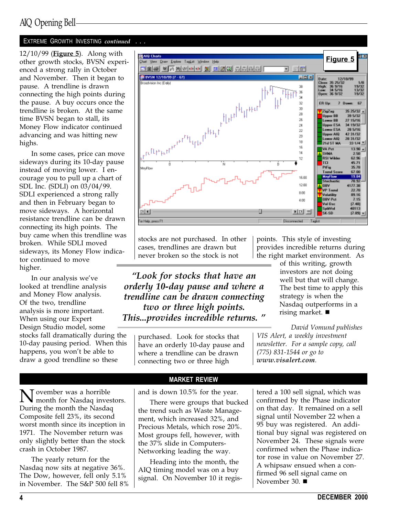### AIQ Opening Bell

### EXTREME GROWTH INVESTING continued . . .

12/10/99 (Figure 5). Along with other growth stocks, BVSN experienced a strong rally in October and November. Then it began to pause. A trendline is drawn connecting the high points during the pause. A buy occurs once the trendline is broken. At the same time BVSN began to stall, its Money Flow indicator continued advancing and was hitting new highs.

In some cases, price can move sideways during its 10-day pause instead of moving lower. I encourage you to pull up a chart of SDL Inc. (SDLI) on 03/04/99. SDLI experienced a strong rally and then in February began to move sideways. A horizontal resistance trendline can be drawn connecting its high points. The buy came when this trendline was broken. While SDLI moved sideways, its Money Flow indicator continued to move higher.

In our analysis we've looked at trendline analysis and Money Flow analysis. Of the two, trendline analysis is more important. When using our Expert Design Studio model, some stocks fall dramatically during the 10-day pausing period. When this happens, you won't be able to draw a good trendline so these



stocks are not purchased. In other cases, trendlines are drawn but never broken so the stock is not

Look for stocks that have an orderly 10-day pause and where a trendline can be drawn connecting two or three high points. This...provides incredible returns.

purchased. Look for stocks that have an orderly 10-day pause and where a trendline can be drawn connecting two or three high

points. This style of investing provides incredible returns during the right market environment. As

> of this writing, growth investors are not doing well but that will change. The best time to apply this strategy is when the Nasdaq outperforms in a rising market.  $\blacksquare$

David Vomund publishes VIS Alert, a weekly investment newsletter. For a sample copy, call (775) 831-1544 or go to www.visalert.com.

**N** ovember was a horrible<br>month for Nasdaq investors. During the month the Nasdaq Composite fell 23%, its second worst month since its inception in 1971. The November return was only slightly better than the stock crash in October 1987.

The yearly return for the Nasdaq now sits at negative 36%. The Dow, however, fell only 5.1% in November. The S&P 500 fell 8%

MARKET REVIEW and is down 10.5% for the year.

There were groups that bucked the trend such as Waste Management, which increased 32%, and Precious Metals, which rose 20%. Most groups fell, however, with the 37% slide in Computers-Networking leading the way.

Heading into the month, the AIQ timing model was on a buy signal. On November 10 it registered a 100 sell signal, which was confirmed by the Phase indicator on that day. It remained on a sell signal until November 22 when a 95 buy was registered. An additional buy signal was registered on November 24. These signals were confirmed when the Phase indicator rose in value on November 27. A whipsaw ensued when a confirmed 96 sell signal came on November 30.  $\blacksquare$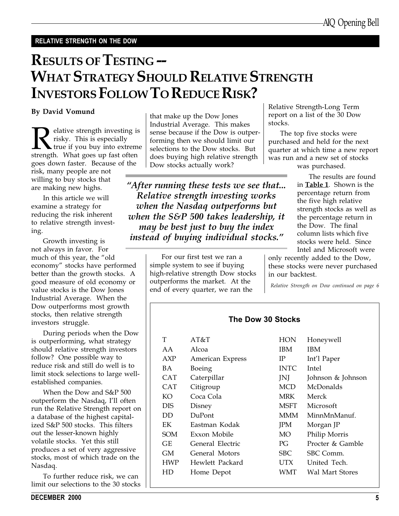### RELATIVE STRENGTH ON THE DOW

## RESULTS OF TESTING -- WHAT STRATEGY SHOULD RELATIVE STRENGTH INVESTORS FOLLOW TO REDUCE RISK?

### By David Vomund

**Relative strength investing is**<br>risky. This is especially<br>strength. What goes up fast often risky. This is especially true if you buy into extreme goes down faster. Because of the risk, many people are not willing to buy stocks that are making new highs.

In this article we will examine a strategy for reducing the risk inherent to relative strength investing.

Growth investing is not always in favor. For much of this year, the "old economy" stocks have performed better than the growth stocks. A good measure of old economy or value stocks is the Dow Jones Industrial Average. When the Dow outperforms most growth stocks, then relative strength investors struggle.

During periods when the Dow is outperforming, what strategy should relative strength investors follow? One possible way to reduce risk and still do well is to limit stock selections to large wellestablished companies.

When the Dow and S&P 500 outperform the Nasdaq, I'll often run the Relative Strength report on a database of the highest capitalized S&P 500 stocks. This filters out the lesser-known highly volatile stocks. Yet this still produces a set of very aggressive stocks, most of which trade on the Nasdaq.

To further reduce risk, we can limit our selections to the 30 stocks

that make up the Dow Jones Industrial Average. This makes sense because if the Dow is outperforming then we should limit our selections to the Dow stocks. But does buying high relative strength Dow stocks actually work?

After running these tests we see that... Relative strength investing works when the Nasdaq outperforms but when the S&P 500 takes leadership, it may be best just to buy the index instead of buying individual stocks.

> For our first test we ran a simple system to see if buying high-relative strength Dow stocks outperforms the market. At the end of every quarter, we ran the

Relative Strength-Long Term report on a list of the 30 Dow stocks.

The top five stocks were purchased and held for the next quarter at which time a new report was run and a new set of stocks

was purchased.

The results are found in **Table 1**. Shown is the percentage return from the five high relative strength stocks as well as the percentage return in the Dow. The final column lists which five stocks were held. Since Intel and Microsoft were

only recently added to the Dow, these stocks were never purchased in our backtest.

Relative Strength on Dow continued on page 6

### The Dow 30 Stocks

| T          | AT&T             | <b>HON</b>  | Honeywell         |
|------------|------------------|-------------|-------------------|
| AА         | Alcoa            | <b>IBM</b>  | IBM               |
| AXP        | American Express | IP          | Int'l Paper       |
| ВA         | Boeing           | <b>INTC</b> | Intel             |
| CAT        | Caterpillar      | JNJ         | Johnson & Johnson |
| <b>CAT</b> | Citigroup        | <b>MCD</b>  | McDonalds         |
| KО         | Coca Cola        | <b>MRK</b>  | Merck             |
| DIS        | Disney           | <b>MSFT</b> | Microsoft         |
| DD         | DuPont           | <b>MMM</b>  | MinnMnManuf.      |
| EK         | Eastman Kodak    | <b>JPM</b>  | Morgan JP         |
| SOM        | Exxon Mobile     | МO          | Philip Morris     |
| GЕ         | General Electric | PG          | Procter & Gamble  |
| GМ         | General Motors   | <b>SBC</b>  | SBC Comm.         |
| HWP        | Hewlett Packard  | <b>UTX</b>  | United Tech.      |
| НD         | Home Depot       | WMT         | Wal Mart Stores   |
|            |                  |             |                   |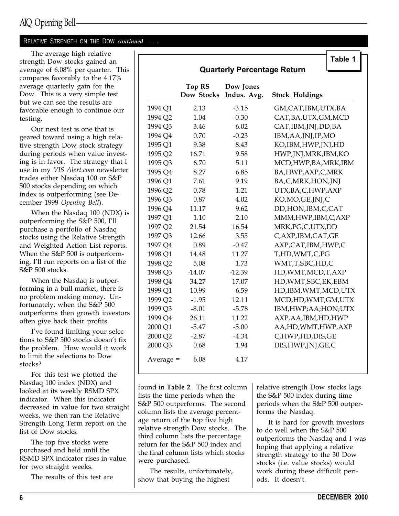### RELATIVE STRENGTH ON THE DOW continued . . .

The average high relative strength Dow stocks gained an average of 6.08% per quarter. This compares favorably to the 4.17% average quarterly gain for the Dow. This is a very simple test but we can see the results are favorable enough to continue our testing.

Our next test is one that is geared toward using a high relative strength Dow stock strategy during periods when value investing is in favor. The strategy that I use in my VIS Alert.com newsletter trades either Nasdaq 100 or S&P 500 stocks depending on which index is outperforming (see December 1999 Opening Bell).

When the Nasdaq 100 (NDX) is outperforming the S&P 500, I'll purchase a portfolio of Nasdaq stocks using the Relative Strength and Weighted Action List reports. When the S&P 500 is outperforming, I'll run reports on a list of the S&P 500 stocks.

When the Nasdaq is outperforming in a bull market, there is no problem making money. Unfortunately, when the S&P 500 outperforms then growth investors often give back their profits.

Ive found limiting your selections to S&P 500 stocks doesn't fix the problem. How would it work to limit the selections to Dow stocks?

For this test we plotted the Nasdaq 100 index (NDX) and looked at its weekly RSMD SPX indicator. When this indicator decreased in value for two straight weeks, we then ran the Relative Strength Long Term report on the list of Dow stocks.

The top five stocks were purchased and held until the RSMD SPX indicator rises in value for two straight weeks.

The results of this test are

| <b>Quarterly Percentage Return</b> |                                    |                          |                        |  |
|------------------------------------|------------------------------------|--------------------------|------------------------|--|
|                                    | <b>Top RS</b><br><b>Dow Stocks</b> | Dow Jones<br>Indus. Avg. | <b>Stock Holdings</b>  |  |
| 1994 Q1                            | 2.13                               | $-3.15$                  | GM, CAT, IBM, UTX, BA  |  |
| 1994 Q2                            | 1.04                               | $-0.30$                  | CAT, BA, UTX, GM, MCD  |  |
| 1994 Q3                            | 3.46                               | 6.02                     | CAT, IBM, JNJ, DD, BA  |  |
| 1994 Q4                            | 0.70                               | $-0.23$                  | IBM, AA, JNJ, IP, MO   |  |
| 1995 Q1                            | 9.38                               | 8.43                     | KO, IBM, HWP, JNJ, HD  |  |
| 1995 Q2                            | 16.71                              | 9.58                     | HWP, JNJ, MRK, IBM, KO |  |
| 1995 Q3                            | 6.70                               | 5.11                     | MCD, HWP, BA, MRK, IBM |  |
| 1995 Q4                            | 8.27                               | 6.85                     | BA, HWP, AXP, C, MRK   |  |
| 1996 Q1                            | 7.61                               | 9.19                     | BA,C,MRK,HON,JNJ       |  |
| 1996 Q2                            | 0.78                               | 1.21                     | UTX, BA, C, HWP, AXP   |  |
| 1996 Q3                            | 0.87                               | 4.02                     | KO,MO,GE,JNJ,C         |  |
| 1996 Q4                            | 11.17                              | 9.62                     | DD, HON, IBM, C, CAT   |  |
| 1997 Q1                            | 1.10                               | 2.10                     | MMM, HWP, IBM, C, AXP  |  |
| 1997 Q2                            | 21.54                              | 16.54                    | MRK, PG, C, UTX, DD    |  |
| 1997 Q3                            | 12.66                              | 3.55                     | C, AXP, IBM, CAT, GE   |  |
| 1997 Q4                            | 0.89                               | $-0.47$                  | AXP, CAT, IBM, HWP, C  |  |
| 1998 Q1                            | 14.48                              | 11.27                    | T,HD,WMT,C,PG          |  |
| 1998 Q2                            | 5.08                               | 1.73                     | WMT,T,SBC,HD,C         |  |
| 1998 Q3                            | $-14.07$                           | $-12.39$                 | HD, WMT, MCD, T, AXP   |  |
| 1998 Q4                            | 34.27                              | 17.07                    | HD, WMT, SBC, EK, EBM  |  |
| 1999 Q1                            | 10.99                              | 6.59                     | HD, IBM, WMT, MCD, UTX |  |
| 1999 Q2                            | $-1.95$                            | 12.11                    | MCD,HD,WMT,GM,UTX      |  |
| 1999 Q3                            | $-8.01$                            | $-5.78$                  | IBM, HWP; AA; HON; UTX |  |
| 1999 Q4                            | 26.11                              | 11.22                    | AXP, AA, IBM, HD, HWP  |  |
| 2000 <sub>Q1</sub>                 | $-5.47$                            | $-5.00$                  | AA,HD,WMT,HWP,AXP      |  |
| 2000 Q2                            | $-2.87$                            | $-4.34$                  | C,HWP,HD,DIS,GE        |  |
| 2000 Q3                            | 0.68                               | 1.94                     | DIS, HWP, JNJ, GE, C   |  |
| Average $=$                        | 6.08                               | 4.17                     |                        |  |

found in Table 2. The first column lists the time periods when the S&P 500 outperforms. The second column lists the average percentage return of the top five high relative strength Dow stocks. The third column lists the percentage return for the S&P 500 index and the final column lists which stocks were purchased.

The results, unfortunately, show that buying the highest

relative strength Dow stocks lags the S&P 500 index during time periods when the S&P 500 outperforms the Nasdaq.

It is hard for growth investors to do well when the S&P 500 outperforms the Nasdaq and I was hoping that applying a relative strength strategy to the 30 Dow stocks (i.e. value stocks) would work during these difficult periods. It doesn't.

 $T_{\text{other}}$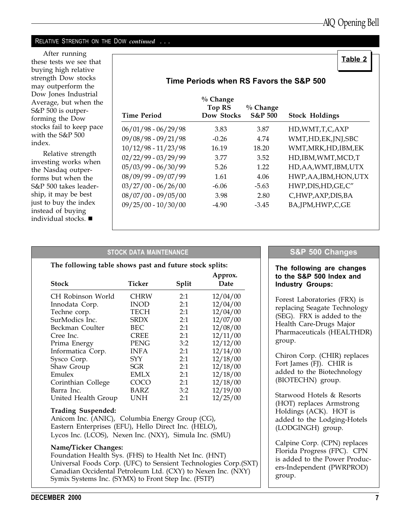Table 2

### RELATIVE STRENGTH ON THE DOW *continued* ...

After running these tests we see that buying high relative strength Dow stocks may outperform the Dow Jones Industrial Average, but when the S&P 500 is outperforming the Dow stocks fail to keep pace with the S&P 500 index.

Relative strength investing works when the Nasdaq outperforms but when the S&P 500 takes leadership, it may be best just to buy the index instead of buying individual stocks.  $\blacksquare$ 

| Time Period           | $%$ Change<br>Top RS<br>Dow Stocks | $%$ Change<br><b>S&amp;P 500</b> | <b>Stock Holdings</b>  |
|-----------------------|------------------------------------|----------------------------------|------------------------|
| $06/01/98 - 06/29/98$ | 3.83                               | 3.87                             | HD, WMT, T, C, AXP     |
| $09/08/98 - 09/21/98$ | $-0.26$                            | 4.74                             | WMT,HD,EK,JNJ,SBC      |
| $10/12/98 - 11/23/98$ | 16.19                              | 18.20                            | WMT, MRK, HD, IBM, EK  |
| $02/22/99 - 03/29/99$ | 3.77                               | 3.52                             | HD, IBM, WMT, MCD, T   |
| $05/03/99 - 06/30/99$ | 5.26                               | 1.22                             | HD, AA, WMT, IBM, UTX  |
| $08/09/99 - 09/07/99$ | 1.61                               | 4.06                             | HWP, AA, IBM, HON, UTX |
| $03/27/00 - 06/26/00$ | $-6.06$                            | $-5.63$                          | HWP, DIS, HD, GE, C"   |
| $08/07/00 - 09/05/00$ | 3.98                               | 2.80                             | C,HWP,AXP,DIS,BA       |
| $09/25/00 - 10/30/00$ | $-4.90$                            | $-3.45$                          | BA, JPM, HWP, C, GE    |

### Time Periods when RS Favors the S&P 500

### STOCK DATA MAINTENANCE

### The following table shows past and future stock splits: Approx. Stock Ticker Split Date CH Robinson World CHRW 2:1 12/04/00 Innodata Corp. INOD 2:1 12/04/00 Techne corp. SurModics Inc. SRDX 2:1 12/07/00 Beckman Coulter BEC 2:1 12/08/00 Cree Inc. CREE 2:1 12/11/00 Prima Energy PENG 3:2 12/12/00 Informatica Corp. INFA 2:1 12/14/00 Sysco Corp. SYY 2:1 12/18/00 Shaw Group 5GR 2:1 12/18/00<br>
Emulex EMLX 2:1 12/18/00 Emulex EMLX 2:1 12/18/00 Corinthian College COCO 2:1 12/18/00 Barra Inc. BARZ 3:2 12/19/00 United Health Group

### Trading Suspended:

Anicom Inc. (ANIC), Columbia Energy Group (CG), Eastern Enterprises (EFU), Hello Direct Inc. (HELO), Lycos Inc. (LCOS), Nexen Inc. (NXY), Simula Inc. (SMU)

### Name/Ticker Changes:

Foundation Health Sys. (FHS) to Health Net Inc. (HNT) Universal Foods Corp. (UFC) to Sensient Technologies Corp.(SXT) Canadian Occidental Petroleum Ltd. (CXY) to Nexen Inc. (NXY) Symix Systems Inc. (SYMX) to Front Step Inc. (FSTP)

### S&P 500 Changes

### The following are changes to the S&P 500 Index and Industry Groups:

Forest Laboratories (FRX) is replacing Seagate Technology (SEG). FRX is added to the Health Care-Drugs Major Pharmaceuticals (HEALTHDR) group.

Chiron Corp. (CHIR) replaces Fort James (FJ). CHIR is added to the Biotechnology (BIOTECHN) group.

Starwood Hotels & Resorts (HOT) replaces Armstrong Holdings (ACK). HOT is added to the Lodging-Hotels (LODGINGH) group.

Calpine Corp. (CPN) replaces Florida Progress (FPC). CPN is added to the Power Producers-Independent (PWRPROD) group.